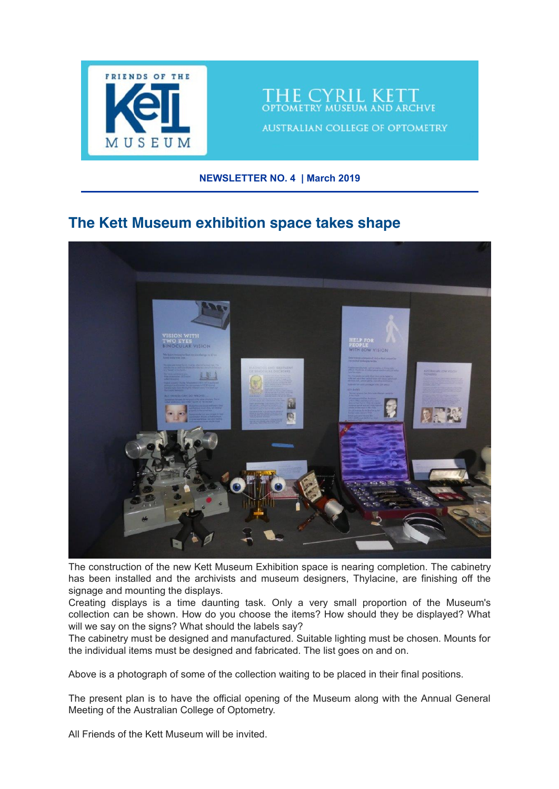

HE CYRIL KET **TOMETRY MUSEUM AND ARCHVE** 

**AUSTRALIAN COLLEGE OF OPTOMETRY** 

#### **NEWSLETTER NO. 4 | March 2019**

## **The Kett Museum exhibition space takes shape**



The construction of the new Kett Museum Exhibition space is nearing completion. The cabinetry has been installed and the archivists and museum designers, Thylacine, are finishing off the signage and mounting the displays.

Creating displays is a time daunting task. Only a very small proportion of the Museum's collection can be shown. How do you choose the items? How should they be displayed? What will we say on the signs? What should the labels say?

The cabinetry must be designed and manufactured. Suitable lighting must be chosen. Mounts for the individual items must be designed and fabricated. The list goes on and on.

Above is a photograph of some of the collection waiting to be placed in their final positions.

The present plan is to have the official opening of the Museum along with the Annual General Meeting of the Australian College of Optometry.

All Friends of the Kett Museum will be invited.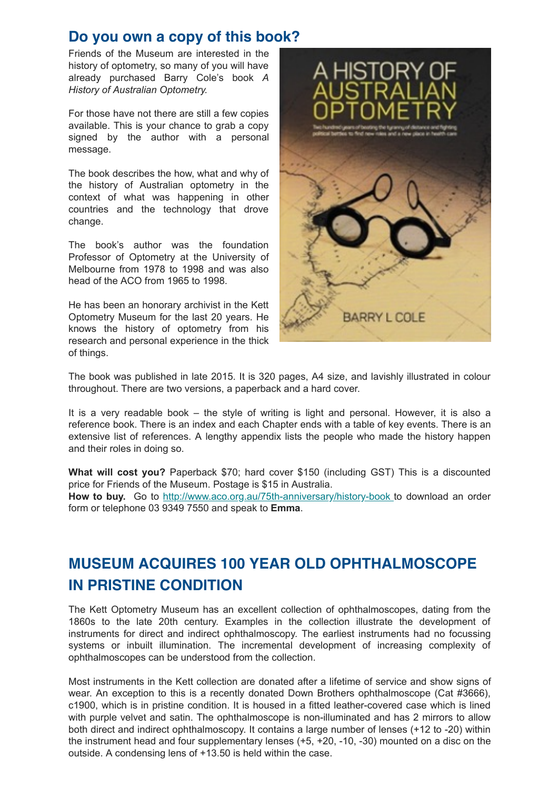### **Do you own a copy of this book?**

Friends of the Museum are interested in the history of optometry, so many of you will have already purchased Barry Cole's book *A History of Australian Optometry.*

For those have not there are still a few copies available. This is your chance to grab a copy signed by the author with a personal message.

The book describes the how, what and why of the history of Australian optometry in the context of what was happening in other countries and the technology that drove change.

The book's author was the foundation Professor of Optometry at the University of Melbourne from 1978 to 1998 and was also head of the ACO from 1965 to 1998.

He has been an honorary archivist in the Kett Optometry Museum for the last 20 years. He knows the history of optometry from his research and personal experience in the thick of things.



The book was published in late 2015. It is 320 pages, A4 size, and lavishly illustrated in colour throughout. There are two versions, a paperback and a hard cover.

It is a very readable book – the style of writing is light and personal. However, it is also a reference book. There is an index and each Chapter ends with a table of key events. There is an extensive list of references. A lengthy appendix lists the people who made the history happen and their roles in doing so.

**What will cost you?** Paperback \$70; hard cover \$150 (including GST) This is a discounted price for Friends of the Museum. Postage is \$15 in Australia. **How to buy.** Go to [http://www.aco.org.au/75th-anniversary/history-book t](http://www.aco.org.au/75th-anniversary/history-book)o download an order form or telephone 03 9349 7550 and speak to **Emma**.

# **MUSEUM ACQUIRES 100 YEAR OLD OPHTHALMOSCOPE IN PRISTINE CONDITION**

The Kett Optometry Museum has an excellent collection of ophthalmoscopes, dating from the 1860s to the late 20th century. Examples in the collection illustrate the development of instruments for direct and indirect ophthalmoscopy. The earliest instruments had no focussing systems or inbuilt illumination. The incremental development of increasing complexity of ophthalmoscopes can be understood from the collection.

Most instruments in the Kett collection are donated after a lifetime of service and show signs of wear. An exception to this is a recently donated Down Brothers ophthalmoscope (Cat #3666), c1900, which is in pristine condition. It is housed in a fitted leather-covered case which is lined with purple velvet and satin. The ophthalmoscope is non-illuminated and has 2 mirrors to allow both direct and indirect ophthalmoscopy. It contains a large number of lenses (+12 to -20) within the instrument head and four supplementary lenses (+5, +20, -10, -30) mounted on a disc on the outside. A condensing lens of +13.50 is held within the case.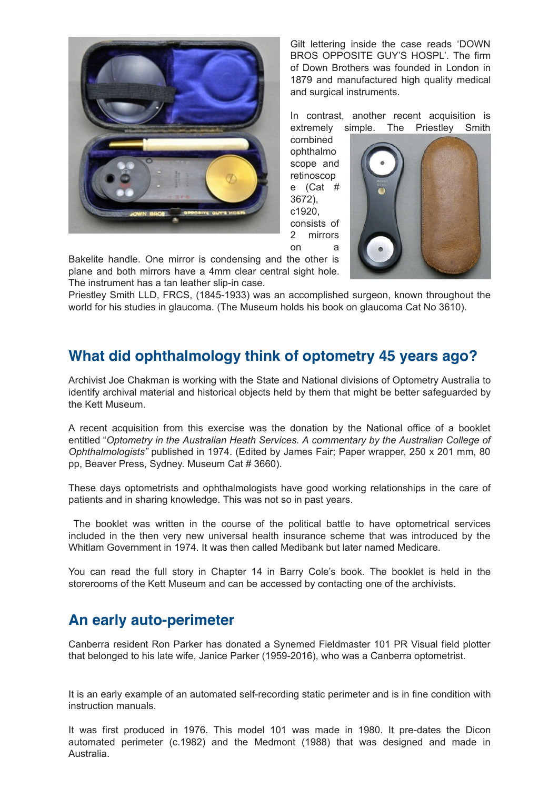

Gilt lettering inside the case reads 'DOWN BROS OPPOSITE GUY'S HOSPL'. The firm of Down Brothers was founded in London in 1879 and manufactured high quality medical and surgical instruments.

In contrast, another recent acquisition is extremely simple. The Priestley Smith

combined ophthalmo scope and retinoscop e (Cat # 3672), c1920, consists of 2 mirrors on a



Bakelite handle. One mirror is condensing and the other is plane and both mirrors have a 4mm clear central sight hole. The instrument has a tan leather slip-in case.

Priestley Smith LLD, FRCS, (1845-1933) was an accomplished surgeon, known throughout the world for his studies in glaucoma. (The Museum holds his book on glaucoma Cat No 3610).

# **What did ophthalmology think of optometry 45 years ago?**

Archivist Joe Chakman is working with the State and National divisions of Optometry Australia to identify archival material and historical objects held by them that might be better safeguarded by the Kett Museum.

A recent acquisition from this exercise was the donation by the National office of a booklet entitled "*Optometry in the Australian Heath Services. A commentary by the Australian College of Ophthalmologists"* published in 1974. (Edited by James Fair; Paper wrapper, 250 x 201 mm, 80 pp, Beaver Press, Sydney. Museum Cat # 3660).

These days optometrists and ophthalmologists have good working relationships in the care of patients and in sharing knowledge. This was not so in past years.

The booklet was written in the course of the political battle to have optometrical services included in the then very new universal health insurance scheme that was introduced by the Whitlam Government in 1974. It was then called Medibank but later named Medicare.

You can read the full story in Chapter 14 in Barry Cole's book. The booklet is held in the storerooms of the Kett Museum and can be accessed by contacting one of the archivists.

# **An early auto-perimeter**

Canberra resident Ron Parker has donated a Synemed Fieldmaster 101 PR Visual field plotter that belonged to his late wife, Janice Parker (1959-2016), who was a Canberra optometrist.

It is an early example of an automated self-recording static perimeter and is in fine condition with instruction manuals.

It was first produced in 1976. This model 101 was made in 1980. It pre-dates the Dicon automated perimeter (c.1982) and the Medmont (1988) that was designed and made in Australia.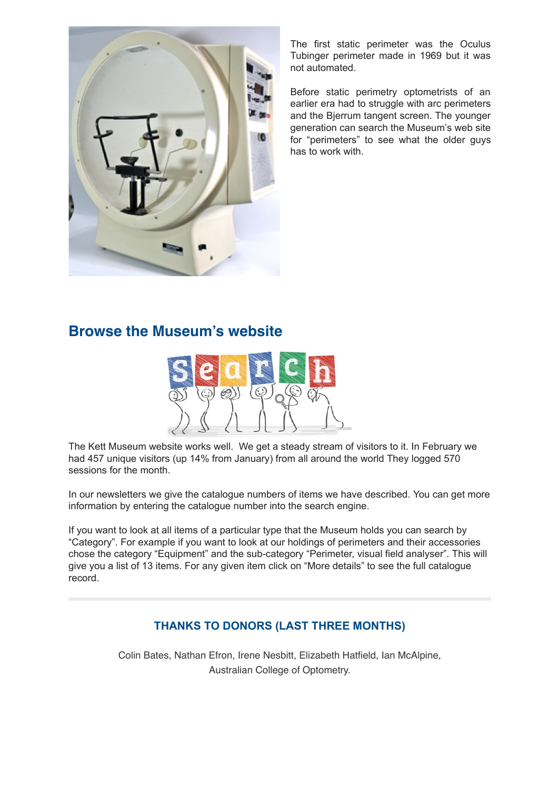

The first static perimeter was the Oculus Tubinger perimeter made in 1969 but it was not automated.

Before static perimetry optometrists of an earlier era had to struggle with arc perimeters and the Bjerrum tangent screen. The younger generation can search the Museum's web site for "perimeters" to see what the older guys has to work with.

# **Browse the Museum's website**



The Kett Museum website works well. We get a steady stream of visitors to it. In February we had 457 unique visitors (up 14% from January) from all around the world They logged 570 sessions for the month.

In our newsletters we give the catalogue numbers of items we have described. You can get more information by entering the catalogue number into the search engine.

If you want to look at all items of a particular type that the Museum holds you can search by "Category". For example if you want to look at our holdings of perimeters and their accessories chose the category "Equipment" and the sub-category "Perimeter, visual field analyser". This will give you a list of 13 items. For any given item click on "More details" to see the full catalogue record.

### **THANKS TO DONORS (LAST THREE MONTHS)**

Colin Bates, Nathan Efron, Irene Nesbitt, Elizabeth Hatfield, Ian McAlpine, Australian College of Optometry.